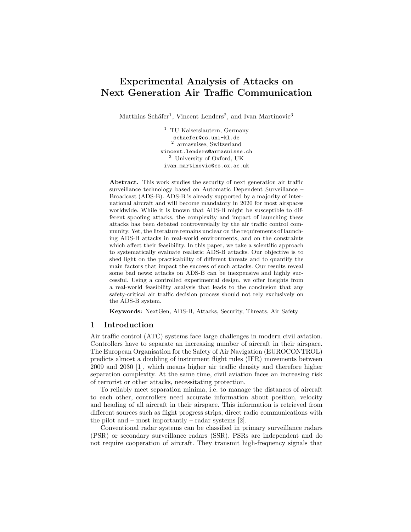# Experimental Analysis of Attacks on Next Generation Air Traffic Communication

Matthias Schäfer<sup>1</sup>, Vincent Lenders<sup>2</sup>, and Ivan Martinovic<sup>3</sup>

<sup>1</sup> TU Kaiserslautern, Germany schaefer@cs.uni-kl.de 2 armasuisse, Switzerland vincent.lenders@armasuisse.ch <sup>3</sup> University of Oxford, UK ivan.martinovic@cs.ox.ac.uk

Abstract. This work studies the security of next generation air traffic surveillance technology based on Automatic Dependent Surveillance – Broadcast (ADS-B). ADS-B is already supported by a majority of international aircraft and will become mandatory in 2020 for most airspaces worldwide. While it is known that ADS-B might be susceptible to different spoofing attacks, the complexity and impact of launching these attacks has been debated controversially by the air traffic control community. Yet, the literature remains unclear on the requirements of launching ADS-B attacks in real-world environments, and on the constraints which affect their feasibility. In this paper, we take a scientific approach to systematically evaluate realistic ADS-B attacks. Our objective is to shed light on the practicability of different threats and to quantify the main factors that impact the success of such attacks. Our results reveal some bad news: attacks on ADS-B can be inexpensive and highly successful. Using a controlled experimental design, we offer insights from a real-world feasibility analysis that leads to the conclusion that any safety-critical air traffic decision process should not rely exclusively on the ADS-B system.

Keywords: NextGen, ADS-B, Attacks, Security, Threats, Air Safety

## 1 Introduction

Air traffic control (ATC) systems face large challenges in modern civil aviation. Controllers have to separate an increasing number of aircraft in their airspace. The European Organisation for the Safety of Air Navigation (EUROCONTROL) predicts almost a doubling of instrument flight rules (IFR) movements between 2009 and 2030 [1], which means higher air traffic density and therefore higher separation complexity. At the same time, civil aviation faces an increasing risk of terrorist or other attacks, necessitating protection.

To reliably meet separation minima, i.e. to manage the distances of aircraft to each other, controllers need accurate information about position, velocity and heading of all aircraft in their airspace. This information is retrieved from different sources such as flight progress strips, direct radio communications with the pilot and – most importantly – radar systems  $[2]$ .

Conventional radar systems can be classified in primary surveillance radars (PSR) or secondary surveillance radars (SSR). PSRs are independent and do not require cooperation of aircraft. They transmit high-frequency signals that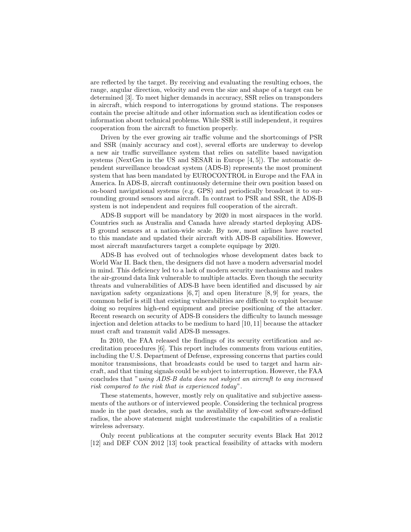are reflected by the target. By receiving and evaluating the resulting echoes, the range, angular direction, velocity and even the size and shape of a target can be determined [3]. To meet higher demands in accuracy, SSR relies on transponders in aircraft, which respond to interrogations by ground stations. The responses contain the precise altitude and other information such as identification codes or information about technical problems. While SSR is still independent, it requires cooperation from the aircraft to function properly.

Driven by the ever growing air traffic volume and the shortcomings of PSR and SSR (mainly accuracy and cost), several efforts are underway to develop a new air traffic surveillance system that relies on satellite based navigation systems (NextGen in the US and SESAR in Europe [4, 5]). The automatic dependent surveillance broadcast system (ADS-B) represents the most prominent system that has been mandated by EUROCONTROL in Europe and the FAA in America. In ADS-B, aircraft continuously determine their own position based on on-board navigational systems (e.g. GPS) and periodically broadcast it to surrounding ground sensors and aircraft. In contrast to PSR and SSR, the ADS-B system is not independent and requires full cooperation of the aircraft.

ADS-B support will be mandatory by 2020 in most airspaces in the world. Countries such as Australia and Canada have already started deploying ADS-B ground sensors at a nation-wide scale. By now, most airlines have reacted to this mandate and updated their aircraft with ADS-B capabilities. However, most aircraft manufacturers target a complete equipage by 2020.

ADS-B has evolved out of technologies whose development dates back to World War II. Back then, the designers did not have a modern adversarial model in mind. This deficiency led to a lack of modern security mechanisms and makes the air-ground data link vulnerable to multiple attacks. Even though the security threats and vulnerabilities of ADS-B have been identified and discussed by air navigation safety organizations  $[6, 7]$  and open literature  $[8, 9]$  for years, the common belief is still that existing vulnerabilities are difficult to exploit because doing so requires high-end equipment and precise positioning of the attacker. Recent research on security of ADS-B considers the difficulty to launch message injection and deletion attacks to be medium to hard [10, 11] because the attacker must craft and transmit valid ADS-B messages.

In 2010, the FAA released the findings of its security certification and accreditation procedures [6]. This report includes comments from various entities, including the U.S. Department of Defense, expressing concerns that parties could monitor transmissions, that broadcasts could be used to target and harm aircraft, and that timing signals could be subject to interruption. However, the FAA concludes that "using ADS-B data does not subject an aircraft to any increased risk compared to the risk that is experienced today".

These statements, however, mostly rely on qualitative and subjective assessments of the authors or of interviewed people. Considering the technical progress made in the past decades, such as the availability of low-cost software-defined radios, the above statement might underestimate the capabilities of a realistic wireless adversary.

Only recent publications at the computer security events Black Hat 2012 [12] and DEF CON 2012 [13] took practical feasibility of attacks with modern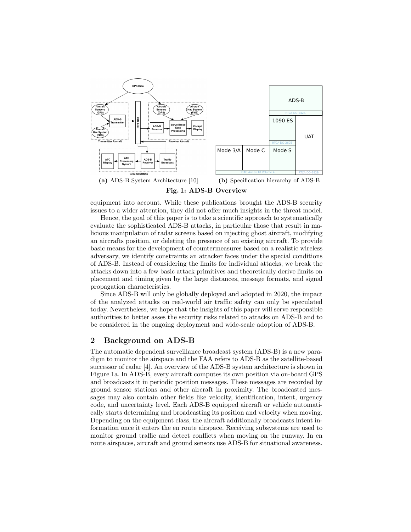

Fig. 1: ADS-B Overview

equipment into account. While these publications brought the ADS-B security issues to a wider attention, they did not offer much insights in the threat model.

Hence, the goal of this paper is to take a scientific approach to systematically evaluate the sophisticated ADS-B attacks, in particular those that result in malicious manipulation of radar screens based on injecting ghost aircraft, modifying an aircrafts position, or deleting the presence of an existing aircraft. To provide basic means for the development of countermeasures based on a realistic wireless adversary, we identify constraints an attacker faces under the special conditions of ADS-B. Instead of considering the limits for individual attacks, we break the attacks down into a few basic attack primitives and theoretically derive limits on placement and timing given by the large distances, message formats, and signal propagation characteristics.

Since ADS-B will only be globally deployed and adopted in 2020, the impact of the analyzed attacks on real-world air traffic safety can only be speculated today. Nevertheless, we hope that the insights of this paper will serve responsible authorities to better asses the security risks related to attacks on ADS-B and to be considered in the ongoing deployment and wide-scale adoption of ADS-B.

# 2 Background on ADS-B

The automatic dependent surveillance broadcast system (ADS-B) is a new paradigm to monitor the airspace and the FAA refers to ADS-B as the satellite-based successor of radar [4]. An overview of the ADS-B system architecture is shown in Figure 1a. In ADS-B, every aircraft computes its own position via on-board GPS and broadcasts it in periodic position messages. These messages are recorded by ground sensor stations and other aircraft in proximity. The broadcasted messages may also contain other fields like velocity, identification, intent, urgency code, and uncertainty level. Each ADS-B equipped aircraft or vehicle automatically starts determining and broadcasting its position and velocity when moving. Depending on the equipment class, the aircraft additionally broadcasts intent information once it enters the en route airspace. Receiving subsystems are used to monitor ground traffic and detect conflicts when moving on the runway. In en route airspaces, aircraft and ground sensors use ADS-B for situational awareness.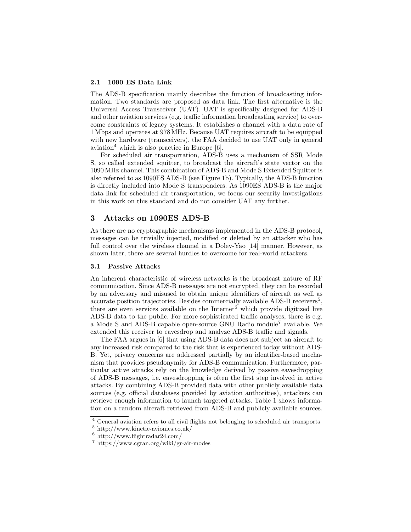#### 2.1 1090 ES Data Link

The ADS-B specification mainly describes the function of broadcasting information. Two standards are proposed as data link. The first alternative is the Universal Access Transceiver (UAT). UAT is specifically designed for ADS-B and other aviation services (e.g. traffic information broadcasting service) to overcome constraints of legacy systems. It establishes a channel with a data rate of 1 Mbps and operates at 978 MHz. Because UAT requires aircraft to be equipped with new hardware (transceivers), the FAA decided to use UAT only in general aviation<sup>4</sup> which is also practice in Europe  $[6]$ .

For scheduled air transportation, ADS-B uses a mechanism of SSR Mode S, so called extended squitter, to broadcast the aircraft's state vector on the 1090 MHz channel. This combination of ADS-B and Mode S Extended Squitter is also referred to as 1090ES ADS-B (see Figure 1b). Typically, the ADS-B function is directly included into Mode S transponders. As 1090ES ADS-B is the major data link for scheduled air transportation, we focus our security investigations in this work on this standard and do not consider UAT any further.

### 3 Attacks on 1090ES ADS-B

As there are no cryptographic mechanisms implemented in the ADS-B protocol, messages can be trivially injected, modified or deleted by an attacker who has full control over the wireless channel in a Dolev-Yao [14] manner. However, as shown later, there are several hurdles to overcome for real-world attackers.

#### 3.1 Passive Attacks

An inherent characteristic of wireless networks is the broadcast nature of RF communication. Since ADS-B messages are not encrypted, they can be recorded by an adversary and misused to obtain unique identifiers of aircraft as well as accurate position trajectories. Besides commercially available ADS-B receivers<sup>5</sup>, there are even services available on the Internet<sup>6</sup> which provide digitized live ADS-B data to the public. For more sophisticated traffic analyses, there is e.g. a Mode S and ADS-B capable open-source GNU Radio module<sup>7</sup> available. We extended this receiver to eavesdrop and analyze ADS-B traffic and signals.

The FAA argues in [6] that using ADS-B data does not subject an aircraft to any increased risk compared to the risk that is experienced today without ADS-B. Yet, privacy concerns are addressed partially by an identifier-based mechanism that provides pseudonymity for ADS-B communication. Furthermore, particular active attacks rely on the knowledge derived by passive eavesdropping of ADS-B messages, i.e. eavesdropping is often the first step involved in active attacks. By combining ADS-B provided data with other publicly available data sources (e.g. official databases provided by aviation authorities), attackers can retrieve enough information to launch targeted attacks. Table 1 shows information on a random aircraft retrieved from ADS-B and publicly available sources.

<sup>4</sup> General aviation refers to all civil flights not belonging to scheduled air transports

<sup>5</sup> http://www.kinetic-avionics.co.uk/

 $6 \text{ http://www.flightradar24.com/}$ 

<sup>7</sup> https://www.cgran.org/wiki/gr-air-modes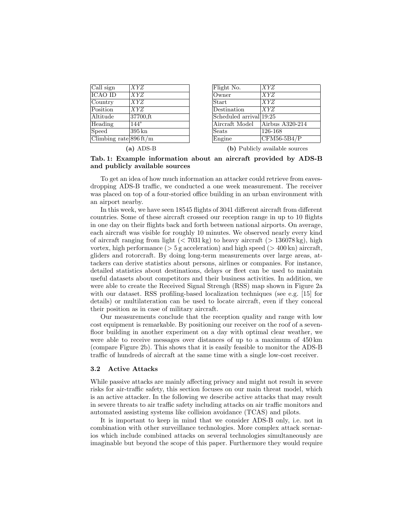| Call sign                        | XYZ                 | Flight No.                       | XYZ           |
|----------------------------------|---------------------|----------------------------------|---------------|
| <b>ICAO ID</b>                   | XYZ                 | Owner                            | XYZ           |
| Country                          | XYZ                 | Start                            | XYZ           |
| Position                         | XYZ                 | Destination                      | XYZ           |
| Altitude                         | $37700,\mathrm{ft}$ | Scheduled arrival 19:25          |               |
| Heading                          | $144^\circ$         | Aircraft Model   Airbus A320-214 |               |
| Speed                            | 395 kn              | Seats                            | 126-168       |
| Climbing rate $896 \text{ ft/m}$ |                     | Engine                           | $CFM56-5B4/P$ |

(a) ADS-B

(b) Publicly available sources

Tab. 1: Example information about an aircraft provided by ADS-B and publicly available sources

To get an idea of how much information an attacker could retrieve from eavesdropping ADS-B traffic, we conducted a one week measurement. The receiver was placed on top of a four-storied office building in an urban environment with an airport nearby.

In this week, we have seen 18545 flights of 3041 different aircraft from different countries. Some of these aircraft crossed our reception range in up to 10 flights in one day on their flights back and forth between national airports. On average, each aircraft was visible for roughly 10 minutes. We observed nearly every kind of aircraft ranging from light  $(< 7031 \text{ kg})$  to heavy aircraft  $(> 136078 \text{ kg})$ , high vortex, high performance ( $> 5$  g acceleration) and high speed ( $> 400$  kn) aircraft, gliders and rotorcraft. By doing long-term measurements over large areas, attackers can derive statistics about persons, airlines or companies. For instance, detailed statistics about destinations, delays or fleet can be used to maintain useful datasets about competitors and their business activities. In addition, we were able to create the Received Signal Strengh (RSS) map shown in Figure 2a with our dataset. RSS profiling-based localization techniques (see e.g. [15] for details) or multilateration can be used to locate aircraft, even if they conceal their position as in case of military aircraft.

Our measurements conclude that the reception quality and range with low cost equipment is remarkable. By positioning our receiver on the roof of a sevenfloor building in another experiment on a day with optimal clear weather, we were able to receive messages over distances of up to a maximum of 450 km (compare Figure 2b). This shows that it is easily feasible to monitor the ADS-B traffic of hundreds of aircraft at the same time with a single low-cost receiver.

#### 3.2 Active Attacks

While passive attacks are mainly affecting privacy and might not result in severe risks for air-traffic safety, this section focuses on our main threat model, which is an active attacker. In the following we describe active attacks that may result in severe threats to air traffic safety including attacks on air traffic monitors and automated assisting systems like collision avoidance (TCAS) and pilots.

It is important to keep in mind that we consider ADS-B only, i.e. not in combination with other surveillance technologies. More complex attack scenarios which include combined attacks on several technologies simultaneously are imaginable but beyond the scope of this paper. Furthermore they would require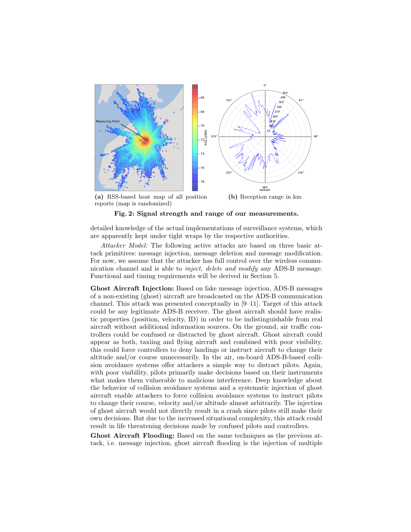

reports (map is randomized) (b) Reception range in km

Fig. 2: Signal strength and range of our measurements.

detailed knowledge of the actual implementations of surveillance systems, which are apparently kept under tight wraps by the respective authorities.

Attacker Model: The following active attacks are based on three basic attack primitives: message injection, message deletion and message modification. For now, we assume that the attacker has full control over the wireless communication channel and is able to inject, delete and modify any ADS-B message. Functional and timing requirements will be derived in Section 5.

Ghost Aircraft Injection: Based on fake message injection, ADS-B messages of a non-existing (ghost) aircraft are broadcasted on the ADS-B communication channel. This attack was presented conceptually in [9–11]. Target of this attack could be any legitimate ADS-B receiver. The ghost aircraft should have realistic properties (position, velocity, ID) in order to be indistinguishable from real aircraft without additional information sources. On the ground, air traffic controllers could be confused or distracted by ghost aircraft. Ghost aircraft could appear as both, taxiing and flying aircraft and combined with poor visibility, this could force controllers to deny landings or instruct aircraft to change their altitude and/or course unnecessarily. In the air, on-board ADS-B-based collision avoidance systems offer attackers a simple way to distract pilots. Again, with poor visibility, pilots primarily make decisions based on their instruments what makes them vulnerable to malicious interference. Deep knowledge about the behavior of collision avoidance systems and a systematic injection of ghost aircraft enable attackers to force collision avoidance systems to instruct pilots to change their course, velocity and/or altitude almost arbitrarily. The injection of ghost aircraft would not directly result in a crash since pilots still make their own decisions. But due to the increased situational complexity, this attack could result in life threatening decisions made by confused pilots and controllers.

Ghost Aircraft Flooding: Based on the same techniques as the previous attack, i.e. message injection, ghost aircraft flooding is the injection of multiple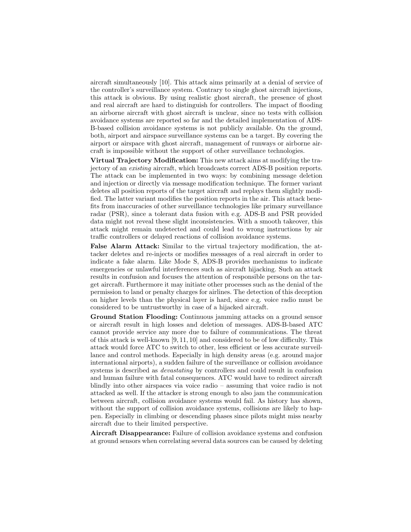aircraft simultaneously [10]. This attack aims primarily at a denial of service of the controller's surveillance system. Contrary to single ghost aircraft injections, this attack is obvious. By using realistic ghost aircraft, the presence of ghost and real aircraft are hard to distinguish for controllers. The impact of flooding an airborne aircraft with ghost aircraft is unclear, since no tests with collision avoidance systems are reported so far and the detailed implementation of ADS-B-based collision avoidance systems is not publicly available. On the ground, both, airport and airspace surveillance systems can be a target. By covering the airport or airspace with ghost aircraft, management of runways or airborne aircraft is impossible without the support of other surveillance technologies.

Virtual Trajectory Modification: This new attack aims at modifying the trajectory of an existing aircraft, which broadcasts correct ADS-B position reports. The attack can be implemented in two ways: by combining message deletion and injection or directly via message modification technique. The former variant deletes all position reports of the target aircraft and replays them slightly modified. The latter variant modifies the position reports in the air. This attack benefits from inaccuracies of other surveillance technologies like primary surveillance radar (PSR), since a tolerant data fusion with e.g. ADS-B and PSR provided data might not reveal these slight inconsistencies. With a smooth takeover, this attack might remain undetected and could lead to wrong instructions by air traffic controllers or delayed reactions of collision avoidance systems.

False Alarm Attack: Similar to the virtual trajectory modification, the attacker deletes and re-injects or modifies messages of a real aircraft in order to indicate a fake alarm. Like Mode S, ADS-B provides mechanisms to indicate emergencies or unlawful interferences such as aircraft hijacking. Such an attack results in confusion and focuses the attention of responsible persons on the target aircraft. Furthermore it may initiate other processes such as the denial of the permission to land or penalty charges for airlines. The detection of this deception on higher levels than the physical layer is hard, since e.g. voice radio must be considered to be untrustworthy in case of a hijacked aircraft.

Ground Station Flooding: Continuous jamming attacks on a ground sensor or aircraft result in high losses and deletion of messages. ADS-B-based ATC cannot provide service any more due to failure of communications. The threat of this attack is well-known [9, 11, 10] and considered to be of low difficulty. This attack would force ATC to switch to other, less efficient or less accurate surveillance and control methods. Especially in high density areas (e.g. around major international airports), a sudden failure of the surveillance or collision avoidance systems is described as *devastating* by controllers and could result in confusion and human failure with fatal consequences. ATC would have to redirect aircraft blindly into other airspaces via voice radio – assuming that voice radio is not attacked as well. If the attacker is strong enough to also jam the communication between aircraft, collision avoidance systems would fail. As history has shown, without the support of collision avoidance systems, collisions are likely to happen. Especially in climbing or descending phases since pilots might miss nearby aircraft due to their limited perspective.

Aircraft Disappearance: Failure of collision avoidance systems and confusion at ground sensors when correlating several data sources can be caused by deleting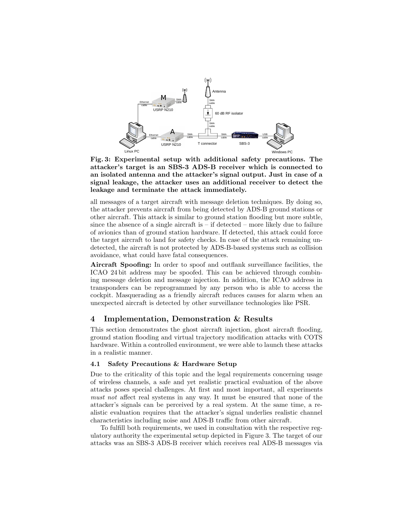

Fig. 3: Experimental setup with additional safety precautions. The attacker's target is an SBS-3 ADS-B receiver which is connected to an isolated antenna and the attacker's signal output. Just in case of a signal leakage, the attacker uses an additional receiver to detect the leakage and terminate the attack immediately.

all messages of a target aircraft with message deletion techniques. By doing so, the attacker prevents aircraft from being detected by ADS-B ground stations or other aircraft. This attack is similar to ground station flooding but more subtle, since the absence of a single aircraft is  $-$  if detected  $-$  more likely due to failure of avionics than of ground station hardware. If detected, this attack could force the target aircraft to land for safety checks. In case of the attack remaining undetected, the aircraft is not protected by ADS-B-based systems such as collision avoidance, what could have fatal consequences.

Aircraft Spoofing: In order to spoof and outflank surveillance facilities, the ICAO 24 bit address may be spoofed. This can be achieved through combining message deletion and message injection. In addition, the ICAO address in transponders can be reprogrammed by any person who is able to access the cockpit. Masquerading as a friendly aircraft reduces causes for alarm when an unexpected aircraft is detected by other surveillance technologies like PSR.

### 4 Implementation, Demonstration & Results

This section demonstrates the ghost aircraft injection, ghost aircraft flooding, ground station flooding and virtual trajectory modification attacks with COTS hardware. Within a controlled environment, we were able to launch these attacks in a realistic manner.

### 4.1 Safety Precautions & Hardware Setup

Due to the criticality of this topic and the legal requirements concerning usage of wireless channels, a safe and yet realistic practical evaluation of the above attacks poses special challenges. At first and most important, all experiments must not affect real systems in any way. It must be ensured that none of the attacker's signals can be perceived by a real system. At the same time, a realistic evaluation requires that the attacker's signal underlies realistic channel characteristics including noise and ADS-B traffic from other aircraft.

To fulfill both requirements, we used in consultation with the respective regulatory authority the experimental setup depicted in Figure 3. The target of our attacks was an SBS-3 ADS-B receiver which receives real ADS-B messages via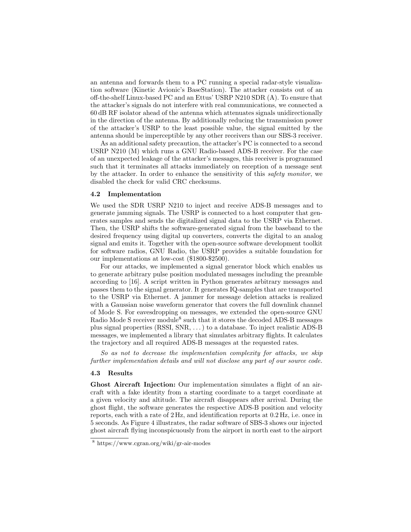an antenna and forwards them to a PC running a special radar-style visualization software (Kinetic Avionic's BaseStation). The attacker consists out of an off-the-shelf Linux-based PC and an Ettus' USRP N210 SDR (A). To ensure that the attacker's signals do not interfere with real communications, we connected a 60 dB RF isolator ahead of the antenna which attenuates signals unidirectionally in the direction of the antenna. By additionally reducing the transmission power of the attacker's USRP to the least possible value, the signal emitted by the antenna should be imperceptible by any other receivers than our SBS-3 receiver.

As an additional safety precaution, the attacker's PC is connected to a second USRP N210 (M) which runs a GNU Radio-based ADS-B receiver. For the case of an unexpected leakage of the attacker's messages, this receiver is programmed such that it terminates all attacks immediately on reception of a message sent by the attacker. In order to enhance the sensitivity of this safety monitor, we disabled the check for valid CRC checksums.

#### 4.2 Implementation

We used the SDR USRP N210 to inject and receive ADS-B messages and to generate jamming signals. The USRP is connected to a host computer that generates samples and sends the digitalized signal data to the USRP via Ethernet. Then, the USRP shifts the software-generated signal from the baseband to the desired frequency using digital up converters, converts the digital to an analog signal and emits it. Together with the open-source software development toolkit for software radios, GNU Radio, the USRP provides a suitable foundation for our implementations at low-cost (\$1800-\$2500).

For our attacks, we implemented a signal generator block which enables us to generate arbitrary pulse position modulated messages including the preamble according to [16]. A script written in Python generates arbitrary messages and passes them to the signal generator. It generates IQ-samples that are transported to the USRP via Ethernet. A jammer for message deletion attacks is realized with a Gaussian noise waveform generator that covers the full downlink channel of Mode S. For eavesdropping on messages, we extended the open-source GNU Radio Mode S receiver module<sup>8</sup> such that it stores the decoded ADS-B messages plus signal properties (RSSI, SNR, . . . ) to a database. To inject realistic ADS-B messages, we implemented a library that simulates arbitrary flights. It calculates the trajectory and all required ADS-B messages at the requested rates.

So as not to decrease the implementation complexity for attacks, we skip further implementation details and will not disclose any part of our source code.

#### 4.3 Results

Ghost Aircraft Injection: Our implementation simulates a flight of an aircraft with a fake identity from a starting coordinate to a target coordinate at a given velocity and altitude. The aircraft disappears after arrival. During the ghost flight, the software generates the respective ADS-B position and velocity reports, each with a rate of 2 Hz, and identification reports at 0.2 Hz, i.e. once in 5 seconds. As Figure 4 illustrates, the radar software of SBS-3 shows our injected ghost aircraft flying inconspicuously from the airport in north east to the airport

<sup>8</sup> https://www.cgran.org/wiki/gr-air-modes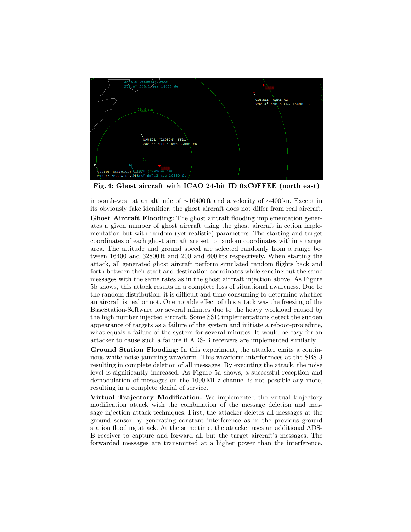

Fig. 4: Ghost aircraft with ICAO 24-bit ID 0xC0FFEE (north east)

in south-west at an altitude of ∼16400 ft and a velocity of ∼400 kn. Except in its obviously fake identifier, the ghost aircraft does not differ from real aircraft.

Ghost Aircraft Flooding: The ghost aircraft flooding implementation generates a given number of ghost aircraft using the ghost aircraft injection implementation but with random (yet realistic) parameters. The starting and target coordinates of each ghost aircraft are set to random coordinates within a target area. The altitude and ground speed are selected randomly from a range between 16400 and 32800 ft and 200 and 600 kts respectively. When starting the attack, all generated ghost aircraft perform simulated random flights back and forth between their start and destination coordinates while sending out the same messages with the same rates as in the ghost aircraft injection above. As Figure 5b shows, this attack results in a complete loss of situational awareness. Due to the random distribution, it is difficult and time-consuming to determine whether an aircraft is real or not. One notable effect of this attack was the freezing of the BaseStation-Software for several minutes due to the heavy workload caused by the high number injected aircraft. Some SSR implementations detect the sudden appearance of targets as a failure of the system and initiate a reboot-procedure, what equals a failure of the system for several minutes. It would be easy for an attacker to cause such a failure if ADS-B receivers are implemented similarly.

Ground Station Flooding: In this experiment, the attacker emits a continuous white noise jamming waveform. This waveform interferences at the SBS-3 resulting in complete deletion of all messages. By executing the attack, the noise level is significantly increased. As Figure 5a shows, a successful reception and demodulation of messages on the 1090 MHz channel is not possible any more, resulting in a complete denial of service.

Virtual Trajectory Modification: We implemented the virtual trajectory modification attack with the combination of the message deletion and message injection attack techniques. First, the attacker deletes all messages at the ground sensor by generating constant interference as in the previous ground station flooding attack. At the same time, the attacker uses an additional ADS-B receiver to capture and forward all but the target aircraft's messages. The forwarded messages are transmitted at a higher power than the interference.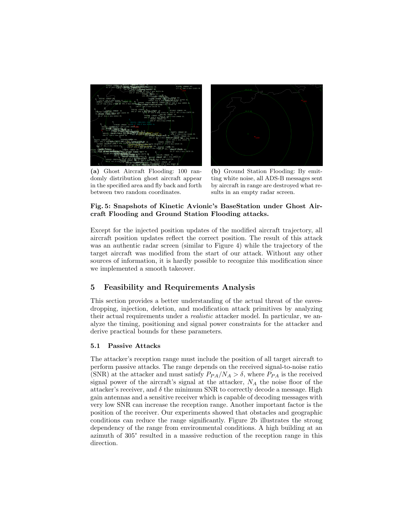

(a) Ghost Aircraft Flooding: 100 randomly distribution ghost aircraft appear in the specified area and fly back and forth between two random coordinates.



(b) Ground Station Flooding: By emitting white noise, all ADS-B messages sent by aircraft in range are destroyed what results in an empty radar screen.

### Fig. 5: Snapshots of Kinetic Avionic's BaseStation under Ghost Aircraft Flooding and Ground Station Flooding attacks.

Except for the injected position updates of the modified aircraft trajectory, all aircraft position updates reflect the correct position. The result of this attack was an authentic radar screen (similar to Figure 4) while the trajectory of the target aircraft was modified from the start of our attack. Without any other sources of information, it is hardly possible to recognize this modification since we implemented a smooth takeover.

# 5 Feasibility and Requirements Analysis

This section provides a better understanding of the actual threat of the eavesdropping, injection, deletion, and modification attack primitives by analyzing their actual requirements under a realistic attacker model. In particular, we analyze the timing, positioning and signal power constraints for the attacker and derive practical bounds for these parameters.

### 5.1 Passive Attacks

The attacker's reception range must include the position of all target aircraft to perform passive attacks. The range depends on the received signal-to-noise ratio (SNR) at the attacker and must satisfy  $P_{PA}/N_A > \delta$ , where  $P_{PA}$  is the received signal power of the aircraft's signal at the attacker,  $N_A$  the noise floor of the attacker's receiver, and  $\delta$  the minimum SNR to correctly decode a message. High gain antennas and a sensitive receiver which is capable of decoding messages with very low SNR can increase the reception range. Another important factor is the position of the receiver. Our experiments showed that obstacles and geographic conditions can reduce the range significantly. Figure 2b illustrates the strong dependency of the range from environmental conditions. A high building at an azimuth of 305° resulted in a massive reduction of the reception range in this direction.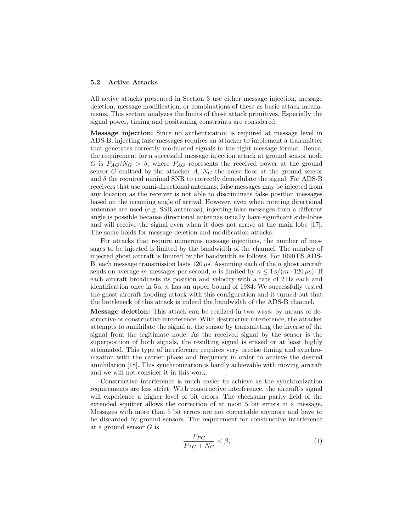### 5.2 Active Attacks

All active attacks presented in Section 3 use either message injection, message deletion, message modification, or combinations of these as basic attack mechanisms. This section analyzes the limits of these attack primitives. Especially the signal power, timing and positioning constraints are considered.

Message injection: Since no authentication is required at message level in ADS-B, injecting false messages requires an attacker to implement a transmitter that generates correctly modulated signals in the right message format. Hence, the requirement for a successful message injection attack at ground sensor node G is  $P_{AG}/N_G > \delta$ , where  $P_{AG}$  represents the received power at the ground sensor G emitted by the attacker A,  $N_G$  the noise floor at the ground sensor and  $\delta$  the required minimal SNR to correctly demodulate the signal. For ADS-B receivers that use omni-directional antennas, false messages may be injected from any location as the receiver is not able to discriminate false position messages based on the incoming angle of arrival. However, even when rotating directional antennas are used (e.g. SSR antennas), injecting false messages from a different angle is possible because directional antennas usually have significant side-lobes and will receive the signal even when it does not arrive at the main lobe [17]. The same holds for message deletion and modification attacks.

For attacks that require numerous message injections, the number of messages to be injected is limited by the bandwidth of the channel. The number of injected ghost aircraft is limited by the bandwidth as follows. For 1090 ES ADS-B, each message transmission lasts  $120 \mu s$ . Assuming each of the *n* ghost aircraft sends on average m messages per second, n is limited by  $n \leq 1 \frac{s}{m \cdot 120 \mu s}$ . If each aircraft broadcasts its position and velocity with a rate of 2 Hz each and identification once in 5 s,  $n$  has an upper bound of 1984. We successfully tested the ghost aircraft flooding attack with this configuration and it turned out that the bottleneck of this attack is indeed the bandwidth of the ADS-B channel.

Message deletion: This attack can be realized in two ways: by means of destructive or constructive interference. With destructive interference, the attacker attempts to annihilate the signal at the sensor by transmitting the inverse of the signal from the legitimate node. As the received signal by the sensor is the superposition of both signals, the resulting signal is erased or at least highly attenuated. This type of interference requires very precise timing and synchronization with the carrier phase and frequency in order to achieve the desired annihilation [18]. This synchronization is hardly achievable with moving aircraft and we will not consider it in this work.

Constructive interference is much easier to achieve as the synchronization requirements are less strict. With constructive interference, the aircraft's signal will experience a higher level of bit errors. The checksum parity field of the extended squitter allows the correction of at most 5 bit errors in a message. Messages with more than 5 bit errors are not correctable anymore and have to be discarded by ground sensors. The requirement for constructive interference at a ground sensor G is

$$
\frac{P_{PG}}{P_{AG} + N_G} < \beta,\tag{1}
$$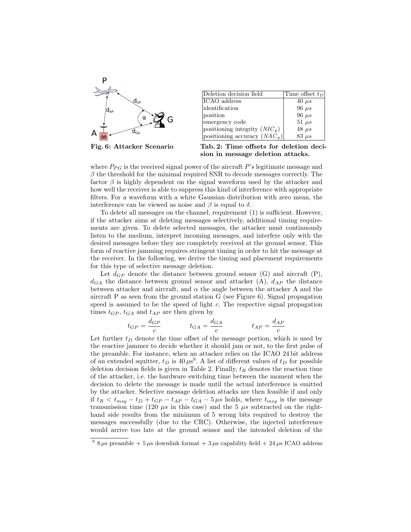

Fig. 6: Attacker Scenario

| Deletion decision field         | Time offset $t_D$ |
|---------------------------------|-------------------|
| ICAO address                    | $40 \; \mu s$     |
| dientification                  | $96 \; \mu s$     |
| position                        | $96 \; \mu s$     |
| emergency code                  | $51 \; \mu s$     |
| positioning integrity $(NIC_p)$ | $48 \ \mu s$      |
| positioning accuracy $(NAC_p)$  | $83 \; \mu s$     |

Tab. 2: Time offsets for deletion decision in message deletion attacks.

where  $P_{PG}$  is the received signal power of the aircraft  $P$ 's legitimate message and  $\beta$  the threshold for the minimal required SNR to decode messages correctly. The factor  $\beta$  is highly dependent on the signal waveform used by the attacker and how well the receiver is able to suppress this kind of interference with appropriate filters. For a waveform with a white Gaussian distribution with zero mean, the interference can be viewed as noise and  $\beta$  is equal to  $\delta$ .

To delete all messages on the channel, requirement (1) is sufficient. However, if the attacker aims at deleting messages selectively, additional timing requirements are given. To delete selected messages, the attacker must continuously listen to the medium, interpret incoming messages, and interfere only with the desired messages before they are completely received at the ground sensor. This form of reactive jamming requires stringent timing in order to hit the message at the receiver. In the following, we derive the timing and placement requirements for this type of selective message deletion.

Let  $d_{GP}$  denote the distance between ground sensor (G) and aircraft (P),  $d_{GA}$  the distance between ground sensor and attacker (A),  $d_{AP}$  the distance between attacker and aircraft, and  $\alpha$  the angle between the attacker A and the aircraft P as seen from the ground station  $G$  (see Figure 6). Signal propagation speed is assumed to be the speed of light  $c$ . The respective signal propagation times  $t_{GP}$ ,  $t_{GA}$  and  $t_{AP}$  are then given by

$$
t_{GP} = \frac{d_{GP}}{c} \qquad t_{GA} = \frac{d_{GA}}{c} \qquad t_{AP} = \frac{d_{AP}}{c}
$$

Let further  $t_D$  denote the time offset of the message portion, which is used by the reactive jammer to decide whether it should jam or not, to the first pulse of the preamble. For instance, when an attacker relies on the ICAO 24 bit address of an extended squitter,  $t_D$  is  $40 \mu s^9$ . A list of different values of  $t_D$  for possible deletion decision fields is given in Table 2. Finally,  $t_R$  denotes the reaction time of the attacker, i.e. the hardware switching time between the moment when the decision to delete the message is made until the actual interference is emitted by the attacker. Selective message deletion attacks are then feasible if and only if  $t_R < t_{msg} - t_D + t_{GP} - t_{AP} - t_{GA} - 5 \,\mu s$  holds, where  $t_{msg}$  is the message transmission time (120  $\mu s$  in this case) and the 5  $\mu s$  subtracted on the righthand side results from the minimum of 5 wrong bits required to destroy the messages successfully (due to the CRC). Otherwise, the injected interference would arrive too late at the ground sensor and the intended deletion of the

<sup>&</sup>lt;sup>9</sup> 8  $\mu$ s preamble + 5  $\mu$ s downlink format + 3  $\mu$ s capability field + 24  $\mu$ s ICAO address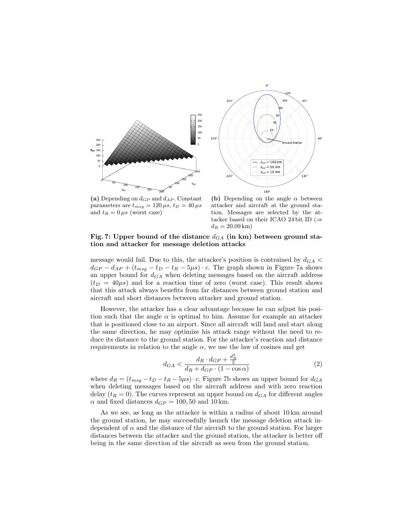



(a) Depending on  $d_{GP}$  and  $d_{AP}$ . Constant parameters are  $t_{msg} = 120 \,\mu s, t_D = 40 \,\mu s$ and  $t_R = 0 \,\mu s$  (worst case)

(b) Depending on the angle  $\alpha$  between attacker and aircraft at the ground station. Messages are selected by the attacker based on their ICAO 24 bit ID  $(\Rightarrow$  $d_R = 20.09 \,\mathrm{km}$ 

Fig. 7: Upper bound of the distance  $d_{GA}$  (in km) between ground station and attacker for message deletion attacks

message would fail. Due to this, the attacker's position is contrained by  $d_{GA}$  $d_{GP} - d_{AP} + (t_{msg} - t_D - t_R - 5\mu s) \cdot c$ . The graph shown in Figure 7a shows an upper bound for  $d_{GA}$  when deleting messages based on the aircraft address  $(t_D = 40\mu s)$  and for a reaction time of zero (worst case). This result shows that this attack always benefits from far distances between ground station and aircraft and short distances between attacker and ground station.

However, the attacker has a clear advantage because he can adjust his position such that the angle  $\alpha$  is optimal to him. Assume for example an attacker that is positioned close to an airport. Since all aircraft will land and start along the same direction, he may optimize his attack range without the need to reduce its distance to the ground station. For the attacker's reaction and distance requirements in relation to the angle  $\alpha$ , we use the law of cosines and get

$$
d_{GA} < \frac{d_R \cdot d_{GP} + \frac{d_R^2}{2}}{d_R + d_{GP} \cdot (1 - \cos \alpha)}\tag{2}
$$

where  $d_R = (t_{msg} - t_D - t_R - 5\mu s) \cdot c$ . Figure 7b shows an upper bound for  $d_{GA}$ when deleting messages based on the aircraft address and with zero reaction delay  $(t_R = 0)$ . The curves represent an upper bound on  $d_{GA}$  for different angles  $\alpha$  and fixed distances  $d_{GP} = 100, 50$  and 10 km.

As we see, as long as the attacker is within a radius of about 10 km around the ground station, he may successfully launch the message deletion attack independent of  $\alpha$  and the distance of the aircraft to the ground station. For larger distances between the attacker and the ground station, the attacker is better off being in the same direction of the aircraft as seen from the ground station.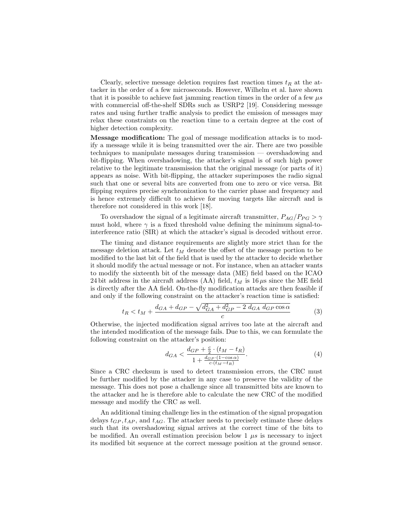Clearly, selective message deletion requires fast reaction times  $t_R$  at the attacker in the order of a few microseconds. However, Wilhelm et al. have shown that it is possible to achieve fast jamming reaction times in the order of a few  $\mu s$ with commercial off-the-shelf SDRs such as USRP2 [19]. Considering message rates and using further traffic analysis to predict the emission of messages may relax these constraints on the reaction time to a certain degree at the cost of higher detection complexity.

Message modification: The goal of message modification attacks is to modify a message while it is being transmitted over the air. There are two possible techniques to manipulate messages during transmission — overshadowing and bit-flipping. When overshadowing, the attacker's signal is of such high power relative to the legitimate transmission that the original message (or parts of it) appears as noise. With bit-flipping, the attacker superimposes the radio signal such that one or several bits are converted from one to zero or vice versa. Bit flipping requires precise synchronization to the carrier phase and frequency and is hence extremely difficult to achieve for moving targets like aircraft and is therefore not considered in this work [18].

To overshadow the signal of a legitimate aircraft transmitter,  $P_{AG}/P_{PG} > \gamma$ must hold, where  $\gamma$  is a fixed threshold value defining the minimum signal-tointerference ratio (SIR) at which the attacker's signal is decoded without error.

The timing and distance requirements are slightly more strict than for the message deletion attack. Let  $t_M$  denote the offset of the message portion to be modified to the last bit of the field that is used by the attacker to decide whether it should modify the actual message or not. For instance, when an attacker wants to modify the sixteenth bit of the message data (ME) field based on the ICAO 24 bit address in the aircraft address (AA) field,  $t_M$  is 16  $\mu$ s since the ME field is directly after the AA field. On-the-fly modification attacks are then feasible if and only if the following constraint on the attacker's reaction time is satisfied:

$$
t_R < t_M + \frac{d_{GA} + d_{GP} - \sqrt{d_{GA}^2 + d_{GP}^2 - 2 d_{GA} d_{GP} \cos \alpha}}{c}
$$
 (3)

Otherwise, the injected modification signal arrives too late at the aircraft and the intended modification of the message fails. Due to this, we can formulate the following constraint on the attacker's position:

$$
d_{GA} < \frac{d_{GP} + \frac{c}{2} \cdot (t_M - t_R)}{1 + \frac{d_{GP} \cdot (1 - \cos \alpha)}{c \cdot (t_M - t_R)}}.\tag{4}
$$

Since a CRC checksum is used to detect transmission errors, the CRC must be further modified by the attacker in any case to preserve the validity of the message. This does not pose a challenge since all transmitted bits are known to the attacker and he is therefore able to calculate the new CRC of the modified message and modify the CRC as well.

An additional timing challenge lies in the estimation of the signal propagation delays  $t_{GP}$ ,  $t_{AP}$ , and  $t_{AG}$ . The attacker needs to precisely estimate these delays such that its overshadowing signal arrives at the correct time of the bits to be modified. An overall estimation precision below 1  $\mu s$  is necessary to inject its modified bit sequence at the correct message position at the ground sensor.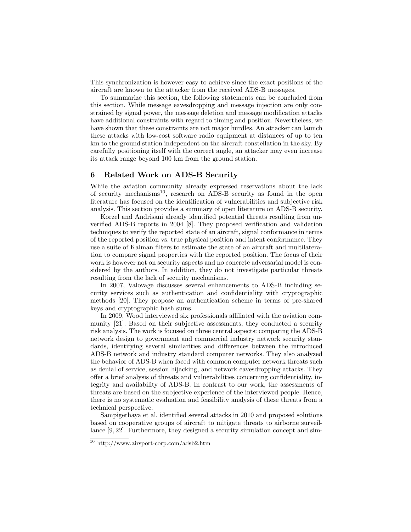This synchronization is however easy to achieve since the exact positions of the aircraft are known to the attacker from the received ADS-B messages.

To summarize this section, the following statements can be concluded from this section. While message eavesdropping and message injection are only constrained by signal power, the message deletion and message modification attacks have additional constraints with regard to timing and position. Nevertheless, we have shown that these constraints are not major hurdles. An attacker can launch these attacks with low-cost software radio equipment at distances of up to ten km to the ground station independent on the aircraft constellation in the sky. By carefully positioning itself with the correct angle, an attacker may even increase its attack range beyond 100 km from the ground station.

# 6 Related Work on ADS-B Security

While the aviation community already expressed reservations about the lack of security mechanisms<sup>10</sup>, research on ADS-B security as found in the open literature has focused on the identification of vulnerabilities and subjective risk analysis. This section provides a summary of open literature on ADS-B security.

Korzel and Andrisani already identified potential threats resulting from unverified ADS-B reports in 2004 [8]. They proposed verification and validation techniques to verify the reported state of an aircraft, signal conformance in terms of the reported position vs. true physical position and intent conformance. They use a suite of Kalman filters to estimate the state of an aircraft and multilateration to compare signal properties with the reported position. The focus of their work is however not on security aspects and no concrete adversarial model is considered by the authors. In addition, they do not investigate particular threats resulting from the lack of security mechanisms.

In 2007, Valovage discusses several enhancements to ADS-B including security services such as authentication and confidentiality with cryptographic methods [20]. They propose an authentication scheme in terms of pre-shared keys and cryptographic hash sums.

In 2009, Wood interviewed six professionals affiliated with the aviation community [21]. Based on their subjective assessments, they conducted a security risk analysis. The work is focused on three central aspects: comparing the ADS-B network design to government and commercial industry network security standards, identifying several similarities and differences between the introduced ADS-B network and industry standard computer networks. They also analyzed the behavior of ADS-B when faced with common computer network threats such as denial of service, session hijacking, and network eavesdropping attacks. They offer a brief analysis of threats and vulnerabilities concerning confidentiality, integrity and availability of ADS-B. In contrast to our work, the assessments of threats are based on the subjective experience of the interviewed people. Hence, there is no systematic evaluation and feasibility analysis of these threats from a technical perspective.

Sampigethaya et al. identified several attacks in 2010 and proposed solutions based on cooperative groups of aircraft to mitigate threats to airborne surveillance [9, 22]. Furthermore, they designed a security simulation concept and sim-

 $\frac{10 \text{ http://www.airsport-corp.com/adsb2.htm}}{10 \text{ http://www.airsport-corp.com/adsb2.htm}}$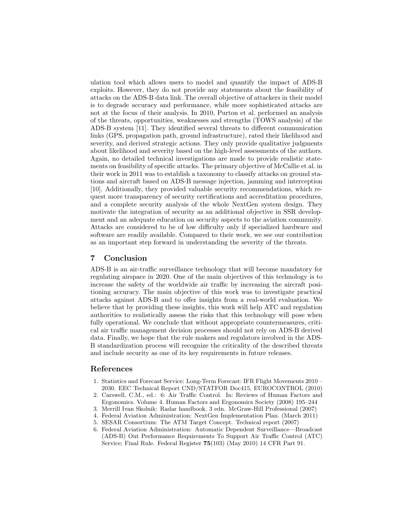ulation tool which allows users to model and quantify the impact of ADS-B exploits. However, they do not provide any statements about the feasibility of attacks on the ADS-B data link. The overall objective of attackers in their model is to degrade accuracy and performance, while more sophisticated attacks are not at the focus of their analysis. In 2010, Purton et al. performed an analysis of the threats, opportunities, weaknesses and strengths (TOWS analysis) of the ADS-B system [11]. They identified several threats to different communication links (GPS, propagation path, ground infrastructure), rated their likelihood and severity, and derived strategic actions. They only provide qualitative judgments about likelihood and severity based on the high-level assessments of the authors. Again, no detailed technical investigations are made to provide realistic statements on feasibility of specific attacks. The primary objective of McCallie et al. in their work in 2011 was to establish a taxonomy to classify attacks on ground stations and aircraft based on ADS-B message injection, jamming and interception [10]. Additionally, they provided valuable security recommendations, which request more transparency of security certifications and accreditation procedures, and a complete security analysis of the whole NextGen system design. They motivate the integration of security as an additional objective in SSR development and an adequate education on security aspects to the aviation community. Attacks are considered to be of low difficulty only if specialized hardware and software are readily available. Compared to their work, we see our contribution as an important step forward in understanding the severity of the threats.

# 7 Conclusion

ADS-B is an air-traffic surveillance technology that will become mandatory for regulating airspace in 2020. One of the main objectives of this technology is to increase the safety of the worldwide air traffic by increasing the aircraft positioning accuracy. The main objective of this work was to investigate practical attacks against ADS-B and to offer insights from a real-world evaluation. We believe that by providing these insights, this work will help ATC and regulation authorities to realistically assess the risks that this technology will pose when fully operational. We conclude that without appropriate countermeasures, critical air traffic management decision processes should not rely on ADS-B derived data. Finally, we hope that the rule makers and regulators involved in the ADS-B standardization process will recognize the criticality of the described threats and include security as one of its key requirements in future releases.

# References

- 1. Statistics and Forecast Service: Long-Term Forecast: IFR Flight Movements 2010 2030. EEC Technical Report CND/STATFOR Doc415, EUROCONTROL (2010)
- 2. Carswell, C.M., ed.: 6: Air Traffic Control. In: Reviews of Human Factors and Ergonomics. Volume 4. Human Factors and Ergonomics Society (2008) 195–244
- 3. Merrill Ivan Skolnik: Radar handbook. 3 edn. McGraw-Hill Professional (2007)
- 4. Federal Aviation Administration: NextGen Implementation Plan. (March 2011)
- 5. SESAR Consortium: The ATM Target Concept. Technical report (2007)
- 6. Federal Aviation Administration: Automatic Dependent Surveillance—Broadcast (ADS-B) Out Performance Requirements To Support Air Traffic Control (ATC) Service; Final Rule. Federal Register 75(103) (May 2010) 14 CFR Part 91.